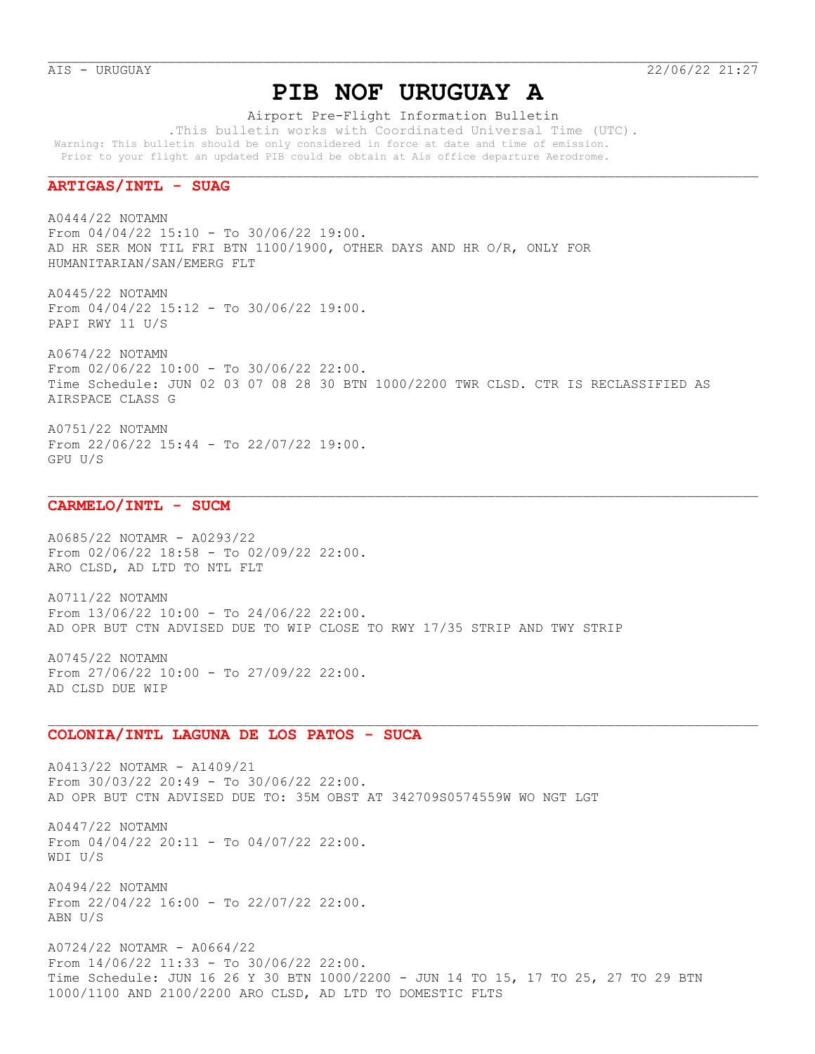# **PIB NOF URUGUAY A**

Airport Pre-Flight Information Bulletin

 .This bulletin works with Coordinated Universal Time (UTC). Warning: This bulletin should be only considered in force at date and time of emission. Prior to your flight an updated PIB could be obtain at Ais office departure Aerodrome.

## **ARTIGAS/INTL - SUAG**

A0444/22 NOTAMN From 04/04/22 15:10 - To 30/06/22 19:00. AD HR SER MON TIL FRI BTN 1100/1900, OTHER DAYS AND HR O/R, ONLY FOR HUMANITARIAN/SAN/EMERG FLT

A0445/22 NOTAMN From 04/04/22 15:12 - To 30/06/22 19:00. PAPI RWY 11 U/S

A0674/22 NOTAMN From 02/06/22 10:00 - To 30/06/22 22:00. Time Schedule: JUN 02 03 07 08 28 30 BTN 1000/2200 TWR CLSD. CTR IS RECLASSIFIED AS AIRSPACE CLASS G

A0751/22 NOTAMN From 22/06/22 15:44 - To 22/07/22 19:00. GPU U/S

#### **CARMELO/INTL - SUCM**

A0685/22 NOTAMR - A0293/22 From 02/06/22 18:58 - To 02/09/22 22:00. ARO CLSD, AD LTD TO NTL FLT

A0711/22 NOTAMN From 13/06/22 10:00 - To 24/06/22 22:00. AD OPR BUT CTN ADVISED DUE TO WIP CLOSE TO RWY 17/35 STRIP AND TWY STRIP

A0745/22 NOTAMN From 27/06/22 10:00 - To 27/09/22 22:00. AD CLSD DUE WIP

#### **COLONIA/INTL LAGUNA DE LOS PATOS - SUCA**

A0413/22 NOTAMR - A1409/21 From 30/03/22 20:49 - To 30/06/22 22:00. AD OPR BUT CTN ADVISED DUE TO: 35M OBST AT 342709S0574559W WO NGT LGT

A0447/22 NOTAMN From 04/04/22 20:11 - To 04/07/22 22:00. WDI U/S

A0494/22 NOTAMN From 22/04/22 16:00 - To 22/07/22 22:00. ABN U/S

A0724/22 NOTAMR - A0664/22 From 14/06/22 11:33 - To 30/06/22 22:00. Time Schedule: JUN 16 26 Y 30 BTN 1000/2200 - JUN 14 TO 15, 17 TO 25, 27 TO 29 BTN 1000/1100 AND 2100/2200 ARO CLSD, AD LTD TO DOMESTIC FLTS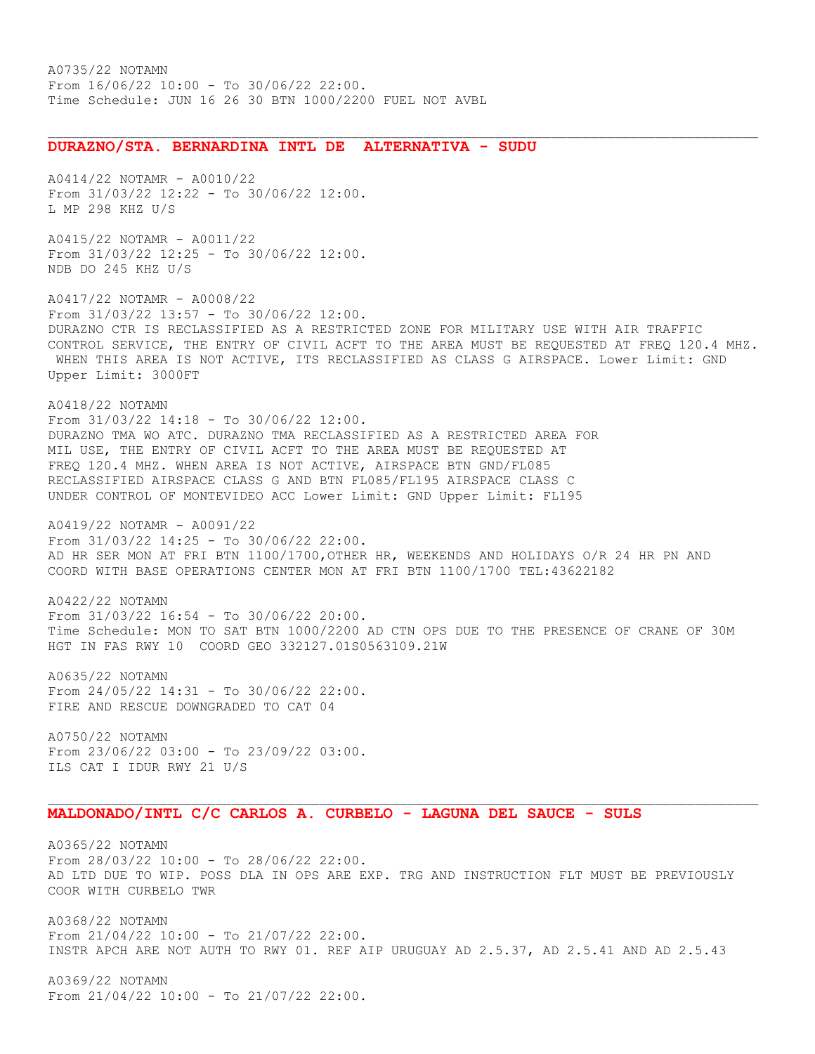## **DURAZNO/STA. BERNARDINA INTL DE ALTERNATIVA - SUDU**

A0414/22 NOTAMR - A0010/22 From 31/03/22 12:22 - To 30/06/22 12:00. L MP 298 KHZ U/S

A0415/22 NOTAMR - A0011/22 From 31/03/22 12:25 - To 30/06/22 12:00. NDB DO 245 KHZ U/S

A0417/22 NOTAMR - A0008/22 From 31/03/22 13:57 - To 30/06/22 12:00. DURAZNO CTR IS RECLASSIFIED AS A RESTRICTED ZONE FOR MILITARY USE WITH AIR TRAFFIC CONTROL SERVICE, THE ENTRY OF CIVIL ACFT TO THE AREA MUST BE REQUESTED AT FREQ 120.4 MHZ. WHEN THIS AREA IS NOT ACTIVE, ITS RECLASSIFIED AS CLASS G AIRSPACE. Lower Limit: GND Upper Limit: 3000FT

A0418/22 NOTAMN From 31/03/22 14:18 - To 30/06/22 12:00. DURAZNO TMA WO ATC. DURAZNO TMA RECLASSIFIED AS A RESTRICTED AREA FOR MIL USE, THE ENTRY OF CIVIL ACFT TO THE AREA MUST BE REQUESTED AT FREQ 120.4 MHZ. WHEN AREA IS NOT ACTIVE, AIRSPACE BTN GND/FL085 RECLASSIFIED AIRSPACE CLASS G AND BTN FL085/FL195 AIRSPACE CLASS C UNDER CONTROL OF MONTEVIDEO ACC Lower Limit: GND Upper Limit: FL195

A0419/22 NOTAMR - A0091/22 From 31/03/22 14:25 - To 30/06/22 22:00. AD HR SER MON AT FRI BTN 1100/1700,OTHER HR, WEEKENDS AND HOLIDAYS O/R 24 HR PN AND COORD WITH BASE OPERATIONS CENTER MON AT FRI BTN 1100/1700 TEL:43622182

A0422/22 NOTAMN From 31/03/22 16:54 - To 30/06/22 20:00. Time Schedule: MON TO SAT BTN 1000/2200 AD CTN OPS DUE TO THE PRESENCE OF CRANE OF 30M HGT IN FAS RWY 10 COORD GEO 332127.01S0563109.21W

A0635/22 NOTAMN From 24/05/22 14:31 - To 30/06/22 22:00. FIRE AND RESCUE DOWNGRADED TO CAT 04

A0750/22 NOTAMN From 23/06/22 03:00 - To 23/09/22 03:00. ILS CAT I IDUR RWY 21 U/S

## **MALDONADO/INTL C/C CARLOS A. CURBELO - LAGUNA DEL SAUCE - SULS**

A0365/22 NOTAMN From 28/03/22 10:00 - To 28/06/22 22:00. AD LTD DUE TO WIP. POSS DLA IN OPS ARE EXP. TRG AND INSTRUCTION FLT MUST BE PREVIOUSLY COOR WITH CURBELO TWR

A0368/22 NOTAMN From 21/04/22 10:00 - To 21/07/22 22:00. INSTR APCH ARE NOT AUTH TO RWY 01. REF AIP URUGUAY AD 2.5.37, AD 2.5.41 AND AD 2.5.43

A0369/22 NOTAMN From 21/04/22 10:00 - To 21/07/22 22:00.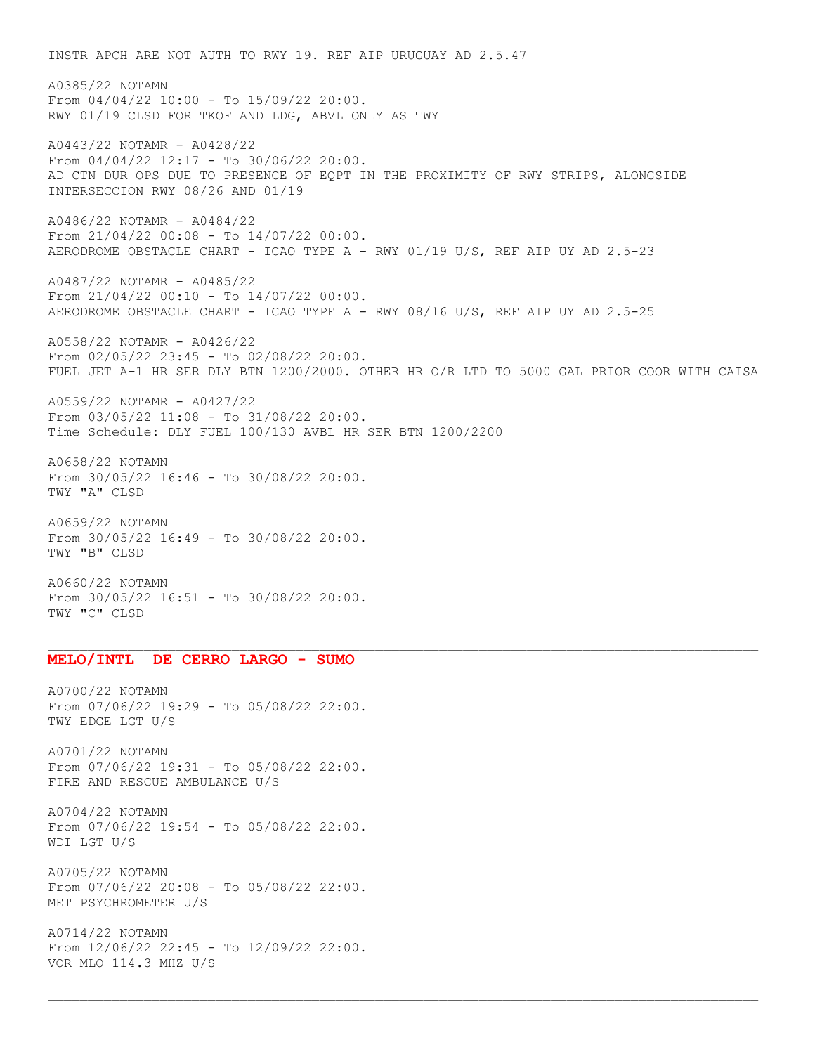INSTR APCH ARE NOT AUTH TO RWY 19. REF AIP URUGUAY AD 2.5.47 A0385/22 NOTAMN From 04/04/22 10:00 - To 15/09/22 20:00. RWY 01/19 CLSD FOR TKOF AND LDG, ABVL ONLY AS TWY A0443/22 NOTAMR - A0428/22 From 04/04/22 12:17 - To 30/06/22 20:00. AD CTN DUR OPS DUE TO PRESENCE OF EQPT IN THE PROXIMITY OF RWY STRIPS, ALONGSIDE INTERSECCION RWY 08/26 AND 01/19 A0486/22 NOTAMR - A0484/22 From 21/04/22 00:08 - To 14/07/22 00:00. AERODROME OBSTACLE CHART - ICAO TYPE A - RWY 01/19 U/S, REF AIP UY AD 2.5-23 A0487/22 NOTAMR - A0485/22 From 21/04/22 00:10 - To 14/07/22 00:00. AERODROME OBSTACLE CHART - ICAO TYPE A - RWY 08/16 U/S, REF AIP UY AD 2.5-25 A0558/22 NOTAMR - A0426/22 From 02/05/22 23:45 - To 02/08/22 20:00. FUEL JET A-1 HR SER DLY BTN 1200/2000. OTHER HR O/R LTD TO 5000 GAL PRIOR COOR WITH CAISA A0559/22 NOTAMR - A0427/22 From 03/05/22 11:08 - To 31/08/22 20:00. Time Schedule: DLY FUEL 100/130 AVBL HR SER BTN 1200/2200 A0658/22 NOTAMN From 30/05/22 16:46 - To 30/08/22 20:00. TWY "A" CLSD A0659/22 NOTAMN From 30/05/22 16:49 - To 30/08/22 20:00. TWY "B" CLSD

A0660/22 NOTAMN From 30/05/22 16:51 - To 30/08/22 20:00. TWY "C" CLSD

#### **MELO/INTL DE CERRO LARGO - SUMO**

A0700/22 NOTAMN From 07/06/22 19:29 - To 05/08/22 22:00. TWY EDGE LGT U/S

A0701/22 NOTAMN From  $07/06/22$  19:31 - To  $05/08/22$  22:00. FIRE AND RESCUE AMBULANCE U/S

A0704/22 NOTAMN From 07/06/22 19:54 - To 05/08/22 22:00. WDI LGT U/S

A0705/22 NOTAMN From 07/06/22 20:08 - To 05/08/22 22:00. MET PSYCHROMETER U/S

A0714/22 NOTAMN From 12/06/22 22:45 - To 12/09/22 22:00. VOR MLO 114.3 MHZ U/S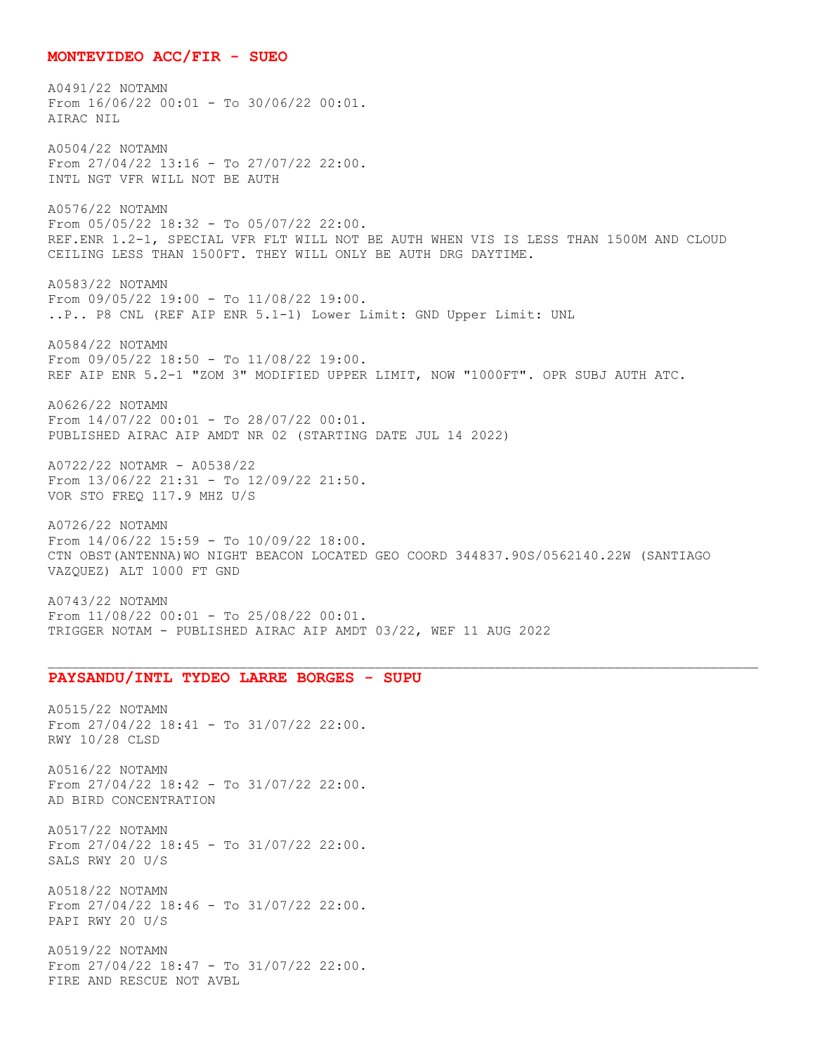#### **MONTEVIDEO ACC/FIR - SUEO**

A0491/22 NOTAMN From 16/06/22 00:01 - To 30/06/22 00:01. AIRAC NIL A0504/22 NOTAMN From 27/04/22 13:16 - To 27/07/22 22:00. INTL NGT VFR WILL NOT BE AUTH A0576/22 NOTAMN From 05/05/22 18:32 - To 05/07/22 22:00. REF.ENR 1.2-1, SPECIAL VFR FLT WILL NOT BE AUTH WHEN VIS IS LESS THAN 1500M AND CLOUD CEILING LESS THAN 1500FT. THEY WILL ONLY BE AUTH DRG DAYTIME. A0583/22 NOTAMN From 09/05/22 19:00 - To 11/08/22 19:00. ..P.. P8 CNL (REF AIP ENR 5.1-1) Lower Limit: GND Upper Limit: UNL A0584/22 NOTAMN From 09/05/22 18:50 - To 11/08/22 19:00. REF AIP ENR 5.2-1 "ZOM 3" MODIFIED UPPER LIMIT, NOW "1000FT". OPR SUBJ AUTH ATC. A0626/22 NOTAMN From 14/07/22 00:01 - To 28/07/22 00:01. PUBLISHED AIRAC AIP AMDT NR 02 (STARTING DATE JUL 14 2022) A0722/22 NOTAMR - A0538/22 From 13/06/22 21:31 - To 12/09/22 21:50. VOR STO FREQ 117.9 MHZ U/S A0726/22 NOTAMN From 14/06/22 15:59 - To 10/09/22 18:00. CTN OBST(ANTENNA)WO NIGHT BEACON LOCATED GEO COORD 344837.90S/0562140.22W (SANTIAGO VAZQUEZ) ALT 1000 FT GND

A0743/22 NOTAMN From 11/08/22 00:01 - To 25/08/22 00:01. TRIGGER NOTAM - PUBLISHED AIRAC AIP AMDT 03/22, WEF 11 AUG 2022

#### **PAYSANDU/INTL TYDEO LARRE BORGES - SUPU**

A0515/22 NOTAMN From 27/04/22 18:41 - To 31/07/22 22:00. RWY 10/28 CLSD

A0516/22 NOTAMN From 27/04/22 18:42 - To 31/07/22 22:00. AD BIRD CONCENTRATION

A0517/22 NOTAMN From 27/04/22 18:45 - To 31/07/22 22:00. SALS RWY 20 U/S

A0518/22 NOTAMN From 27/04/22 18:46 - To 31/07/22 22:00. PAPI RWY 20 U/S

A0519/22 NOTAMN From 27/04/22 18:47 - To 31/07/22 22:00. FIRE AND RESCUE NOT AVBL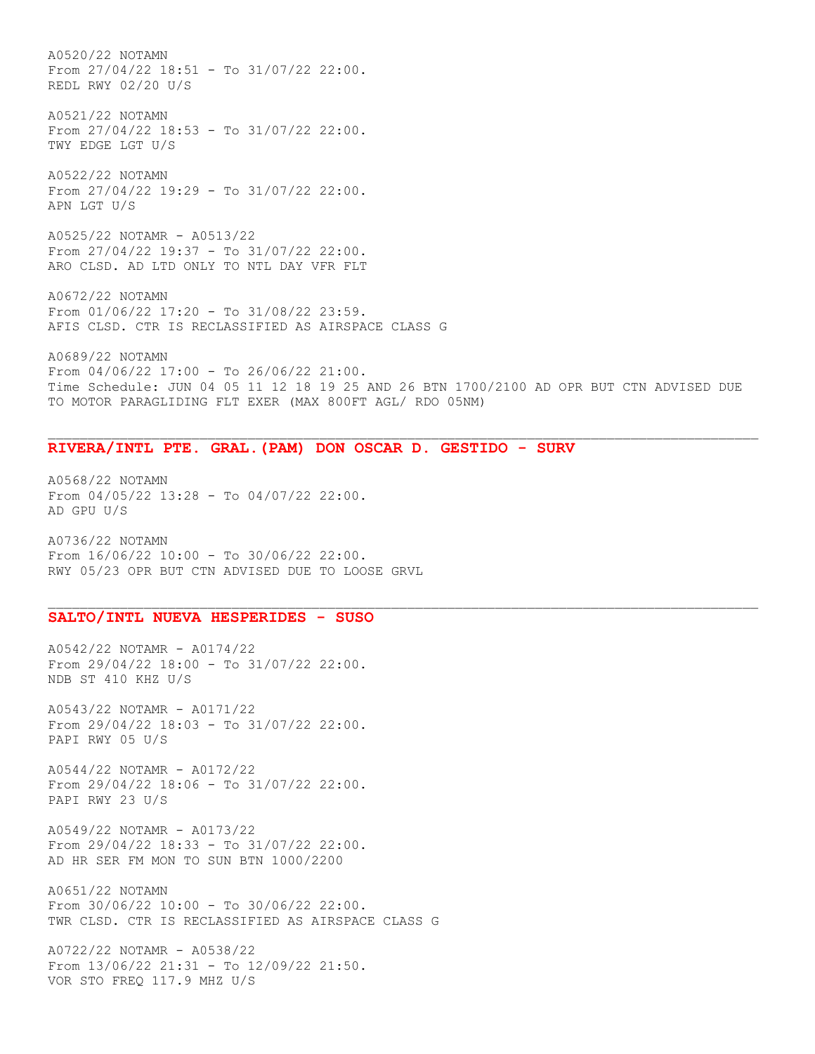A0520/22 NOTAMN From 27/04/22 18:51 - To 31/07/22 22:00. REDL RWY 02/20 U/S A0521/22 NOTAMN From 27/04/22 18:53 - To 31/07/22 22:00.

A0522/22 NOTAMN From 27/04/22 19:29 - To 31/07/22 22:00. APN LGT U/S

TWY EDGE LGT U/S

A0525/22 NOTAMR - A0513/22 From 27/04/22 19:37 - To 31/07/22 22:00. ARO CLSD. AD LTD ONLY TO NTL DAY VFR FLT

A0672/22 NOTAMN From 01/06/22 17:20 - To 31/08/22 23:59. AFIS CLSD. CTR IS RECLASSIFIED AS AIRSPACE CLASS G

A0689/22 NOTAMN From 04/06/22 17:00 - To 26/06/22 21:00. Time Schedule: JUN 04 05 11 12 18 19 25 AND 26 BTN 1700/2100 AD OPR BUT CTN ADVISED DUE TO MOTOR PARAGLIDING FLT EXER (MAX 800FT AGL/ RDO 05NM)

## **RIVERA/INTL PTE. GRAL.(PAM) DON OSCAR D. GESTIDO - SURV**

A0568/22 NOTAMN From 04/05/22 13:28 - To 04/07/22 22:00. AD GPU U/S

A0736/22 NOTAMN From 16/06/22 10:00 - To 30/06/22 22:00. RWY 05/23 OPR BUT CTN ADVISED DUE TO LOOSE GRVL

## **SALTO/INTL NUEVA HESPERIDES - SUSO**

A0542/22 NOTAMR - A0174/22 From 29/04/22 18:00 - To 31/07/22 22:00. NDB ST 410 KHZ U/S

A0543/22 NOTAMR - A0171/22 From 29/04/22 18:03 - To 31/07/22 22:00. PAPI RWY 05 U/S

A0544/22 NOTAMR - A0172/22 From 29/04/22 18:06 - To 31/07/22 22:00. PAPI RWY 23 U/S

A0549/22 NOTAMR - A0173/22 From 29/04/22 18:33 - To 31/07/22 22:00. AD HR SER FM MON TO SUN BTN 1000/2200

A0651/22 NOTAMN From 30/06/22 10:00 - To 30/06/22 22:00. TWR CLSD. CTR IS RECLASSIFIED AS AIRSPACE CLASS G

A0722/22 NOTAMR - A0538/22 From 13/06/22 21:31 - To 12/09/22 21:50. VOR STO FREQ 117.9 MHZ U/S